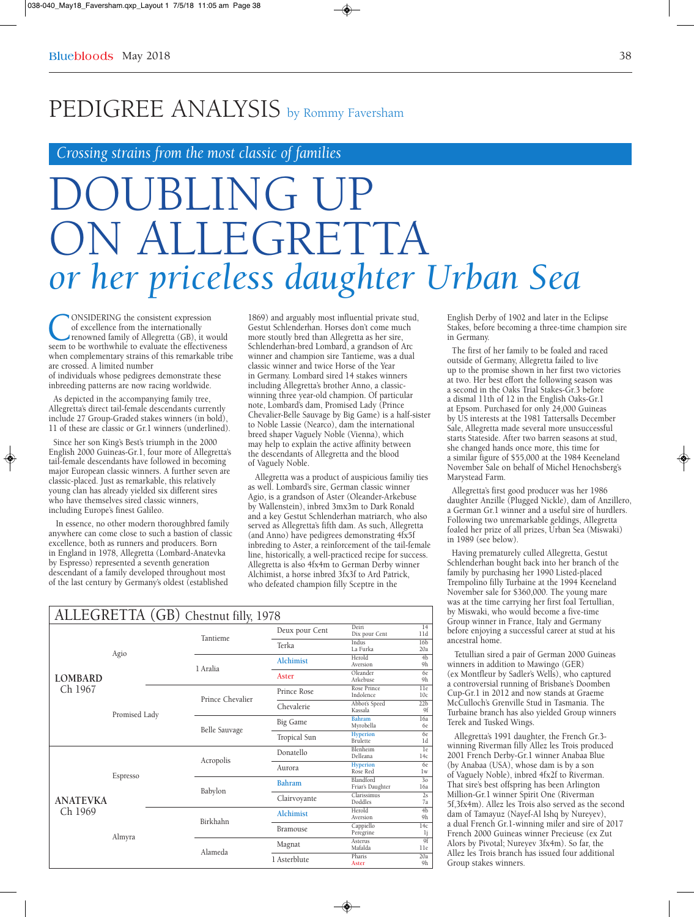## PEDIGREE ANALYSIS by Rommy Faversham

*Crossing strains from the most classic of families*

# DOUBLING UP  $F$ ( $\tau$ RET *or her priceless daughter Urban Sea*

◈

CONSIDERING the consistent expression<br>of excellence from the internationally<br>renowned family of Allegretta (GB), it would<br>seem to be worthwhile to evaluate the effectiveness of excellence from the internationally renowned family of Allegretta (GB), it would when complementary strains of this remarkable tribe are crossed. A limited number

of individuals whose pedigrees demonstrate these inbreeding patterns are now racing worldwide.

As depicted in the accompanying family tree, Allegretta's direct tail-female descendants currently include 27 Group-Graded stakes winners (in bold), 11 of these are classic or Gr.1 winners (underlined).

Since her son King's Best's triumph in the 2000 English 2000 Guineas-Gr.1, four more of Allegretta's tail-female descendants have followed in becoming major European classic winners. A further seven are classic-placed. Just as remarkable, this relatively young clan has already yielded six different sires who have themselves sired classic winners, including Europe's finest Galileo.

In essence, no other modern thoroughbred family anywhere can come close to such a bastion of classic excellence, both as runners and producers. Born in England in 1978, Allegretta (Lombard-Anatevka by Espresso) represented a seventh generation descendant of a family developed throughout most of the last century by Germany's oldest (established

1869) and arguably most influential private stud, Gestut Schlenderhan. Horses don't come much more stoutly bred than Allegretta as her sire, Schlenderhan-bred Lombard, a grandson of Arc winner and champion sire Tantieme, was a dual classic winner and twice Horse of the Year in Germany. Lombard sired 14 stakes winners including Allegretta's brother Anno, a classicwinning three year-old champion. Of particular note, Lombard's dam, Promised Lady (Prince Chevalier-Belle Sauvage by Big Game) is a half-sister to Noble Lassie (Nearco), dam the international breed shaper Vaguely Noble (Vienna), which may help to explain the active affinity between the descendants of Allegretta and the blood of Vaguely Noble.

Allegretta was a product of auspicious familiy ties as well. Lombard's sire, German classic winner Agio, is a grandson of Aster (Oleander-Arkebuse by Wallenstein), inbred 3mx3m to Dark Ronald and a key Gestut Schlenderhan matriarch, who also served as Allegretta's fifth dam. As such, Allegretta (and Anno) have pedigrees demonstrating 4fx5f inbreding to Aster, a reinforcement of the tail-female line, historically, a well-practiced recipe for success. Allegretta is also 4fx4m to German Derby winner Alchimist, a horse inbred 3fx3f to Ard Patrick, who defeated champion filly Sceptre in the

 $\bigcirc$ 

| ALLEGRETTA (GB) Chestnut filly, 1978 |               |                  |                  |                                    |                                  |  |  |  |
|--------------------------------------|---------------|------------------|------------------|------------------------------------|----------------------------------|--|--|--|
| <b>LOMBARD</b><br>Ch 1967            | Agio          | <b>Tantieme</b>  | Deux pour Cent   | Deiri<br>Dix pour Cent             | 14<br>11d                        |  |  |  |
|                                      |               |                  | Terka            | Indus<br>La Furka                  | 16 <sub>b</sub><br>20a           |  |  |  |
|                                      |               | 1 Aralia         | <b>Alchimist</b> | Herold<br>Aversion                 | 4 <sub>b</sub><br>9 <sub>h</sub> |  |  |  |
|                                      |               |                  | Aster            | Oleander<br>Arkebuse               | 6e<br>9 <sub>h</sub>             |  |  |  |
|                                      | Promised Lady | Prince Chevalier | Prince Rose      | Rose Prince<br>Indolence           | 11e<br>10 <sub>c</sub>           |  |  |  |
|                                      |               |                  | Chevalerie       | Abbot's Speed<br>Kassala           | 22 <sub>b</sub><br>9f            |  |  |  |
|                                      |               | Belle Sauvage    | Big Game         | Bahram<br>Myrobella                | 16a<br>6e                        |  |  |  |
|                                      |               |                  | Tropical Sun     | <b>Hyperion</b><br><b>Brulette</b> | 6e<br>1d                         |  |  |  |
| <b>ANATEVKA</b><br>Ch 1969           | Espresso      | Acropolis        | Donatello        | Blenheim<br>Delleana               | 1e<br>14c                        |  |  |  |
|                                      |               |                  | Aurora           | <b>Hyperion</b><br>Rose Red        | 6e<br>1 <sub>w</sub>             |  |  |  |
|                                      |               | Babylon          | <b>Bahram</b>    | Blandford<br>Friar's Daughter      | 3 <sub>0</sub><br>16a            |  |  |  |
|                                      |               |                  | Clairvoyante     | Clarissimus<br>Doddles             | 2s<br>7a                         |  |  |  |
|                                      | Almyra        | Birkhahn         | <b>Alchimist</b> | Herold<br>Aversion                 | <sup>4</sup> b<br>9 <sub>h</sub> |  |  |  |
|                                      |               |                  | <b>Bramouse</b>  | Cappiello<br>Peregrine             | 14c<br><sup>1</sup> j            |  |  |  |
|                                      |               | Alameda          | Magnat           | Asterus<br>Mafalda                 | 9f<br>11e                        |  |  |  |
|                                      |               |                  | 1 Asterblute     | Pharis<br>Aster                    | 20a<br>9h                        |  |  |  |

English Derby of 1902 and later in the Eclipse Stakes, before becoming a three-time champion sire in Germany.

The first of her family to be foaled and raced outside of Germany, Allegretta failed to live up to the promise shown in her first two victories at two. Her best effort the following season was a second in the Oaks Trial Stakes-Gr.3 before a dismal 11th of 12 in the English Oaks-Gr.1 at Epsom. Purchased for only 24,000 Guineas by US interests at the 1981 Tattersalls December Sale, Allegretta made several more unsuccessful starts Stateside. After two barren seasons at stud, she changed hands once more, this time for a similar figure of \$55,000 at the 1984 Keeneland November Sale on behalf of Michel Henochsberg's Marystead Farm.

Allegretta's first good producer was her 1986 daughter Anzille (Plugged Nickle), dam of Anzillero, a German Gr.1 winner and a useful sire of hurdlers. Following two unremarkable geldings, Allegretta foaled her prize of all prizes, Urban Sea (Miswaki) in 1989 (see below).

Having prematurely culled Allegretta, Gestut Schlenderhan bought back into her branch of the family by purchasing her 1990 Listed-placed Trempolino filly Turbaine at the 1994 Keeneland November sale for \$360,000. The young mare was at the time carrying her first foal Tertullian, by Miswaki, who would become a five-time Group winner in France, Italy and Germany before enjoying a successful career at stud at his ancestral home.

Tetullian sired a pair of German 2000 Guineas winners in addition to Mawingo (GER) (ex Montfleur by Sadler's Wells), who captured a controversial running of Brisbane's Doomben Cup-Gr.1 in 2012 and now stands at Graeme McCulloch's Grenville Stud in Tasmania. The Turbaine branch has also yielded Group winners Terek and Tusked Wings.

Allegretta's 1991 daughter, the French Gr.3 winning Riverman filly Allez les Trois produced 2001 French Derby-Gr.1 winner Anabaa Blue (by Anabaa (USA), whose dam is by a son of Vaguely Noble), inbred 4fx2f to Riverman. That sire's best offspring has been Arlington Million-Gr.1 winner Spirit One (Riverman 5f,3fx4m). Allez les Trois also served as the second dam of Tamayuz (Nayef-Al Ishq by Nureyev), a dual French Gr.1-winning miler and sire of 2017 French 2000 Guineas winner Precieuse (ex Zut Alors by Pivotal; Nureyev 3fx4m). So far, the Allez les Trois branch has issued four additional Group stakes winners.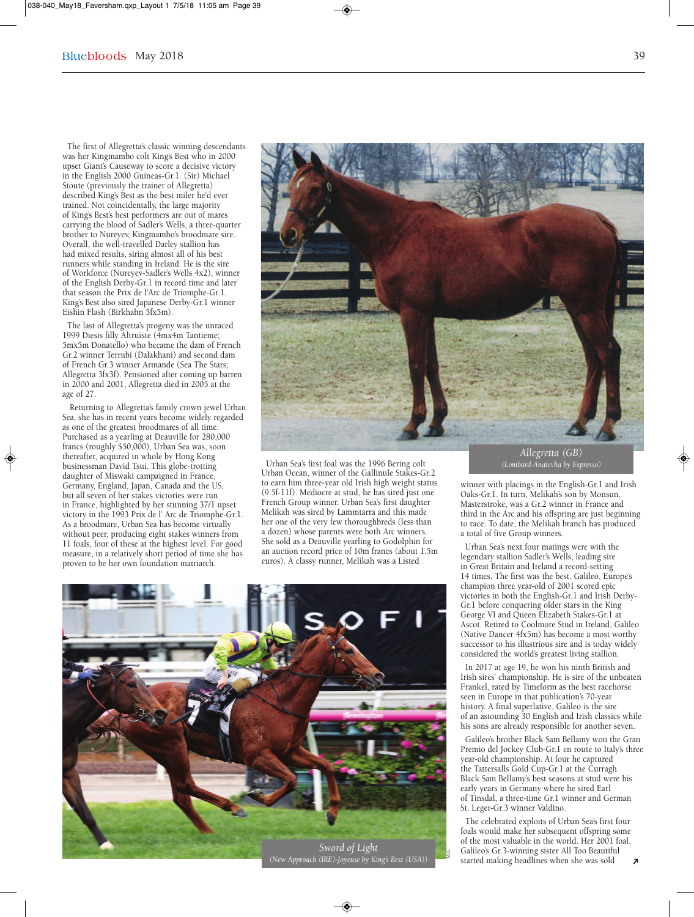#### $\text{May } 2018$  39

The first of Allegretta's classic winning descendants was her Kingmambo colt King's Best who in 2000 upset Giant's Causeway to score a decisive victory in the English 2000 Guineas-Gr.1. (Sir) Michael Stoute (previously the trainer of Allegretta) described King's Best as the best miler he'd ever trained. Not coincidentally, the large majority of King's Best's best performers are out of mares carrying the blood of Sadler's Wells, a three-quarter brother to Nureyev, Kingmambo's broodmare sire. Overall, the well-travelled Darley stallion has had mixed results, siring almost all of his best runners while standing in Ireland. He is the sire of Workforce (Nureyev-Sadler's Wells 4x2), winner of the English Derby-Gr.1 in record time and later that season the Prix de l'Arc de Triomphe-Gr.1. King's Best also sired Japanese Derby-Gr.1 winner Eishin Flash (Birkhahn 5fx5m).

The last of Allegretta's progeny was the unraced 1999 Diesis filly Altruiste (4mx4m Tantieme; 5mx5m Donatello) who became the dam of French Gr.2 winner Terrubi (Dalakhani) and second dam of French Gr.3 winner Armande (Sea The Stars; Allegretta 3fx3f). Pensioned after coming up barren in 2000 and 2001, Allegretta died in 2005 at the age of 27.

Returning to Allegretta's family crown jewel Urban Sea, she has in recent years become widely regarded as one of the greatest broodmares of all time. Purchased as a yearling at Deauville for 280,000 francs (roughly \$50,000), Urban Sea was, soon thereafter, acquired in whole by Hong Kong businessman David Tsui. This globe-trotting daughter of Miswaki campaigned in France, Germany, England, Japan, Canada and the US, but all seven of her stakes victories were run in France, highlighted by her stunning 37/1 upset victory in the 1993 Prix de l' Arc de Triomphe-Gr.1. As a broodmare, Urban Sea has become virtually without peer, producing eight stakes winners from 11 foals, four of these at the highest level. For good measure, in a relatively short period of time she has proven to be her own foundation matriarch.



Urban Sea's first foal was the 1996 Bering colt Urban Ocean, winner of the Gallinule Stakes-Gr.2 to earn him three-year old Irish high weight status (9.5f-11f). Mediocre at stud, he has sired just one French Group winner. Urban Sea's first daughter Melikah was sired by Lammtarra and this made her one of the very few thoroughbreds (less than a dozen) whose parents were both Arc winners. She sold as a Deauville yearling to Godolphin for an auction record price of 10m francs (about 1.5m euros). A classy runner, Melikah was a Listed



*Allegretta (GB) (Lombard-Anatevka by Espresso)*

winner with placings in the English-Gr.1 and Irish Oaks-Gr.1. In turn, Melikah's son by Monsun, Masterstroke, was a Gr.2 winner in France and third in the Arc and his offspring are just beginning to race. To date, the Melikah branch has produced a total of five Group winners.

Urban Sea's next four matings were with the legendary stallion Sadler's Wells, leading sire in Great Britain and Ireland a record-setting 14 times. The first was the best. Galileo, Europe's champion three year-old of 2001 scored epic victories in both the English-Gr.1 and Irish Derby-Gr.1 before conquering older stars in the King George VI and Queen Elizabeth Stakes-Gr.1 at Ascot. Retired to Coolmore Stud in Ireland, Galileo (Native Dancer 4fx5m) has become a most worthy successor to his illustrious sire and is today widely considered the world's greatest living stallion.

In 2017 at age 19, he won his ninth British and Irish sires' championship. He is sire of the unbeaten Frankel, rated by Timeform as the best racehorse seen in Europe in that publication's 70-year history. A final superlative, Galileo is the sire of an astounding 30 English and Irish classics while his sons are already responsible for another seven.

Galileo's brother Black Sam Bellamy won the Gran Premio del Jockey Club-Gr.1 en route to Italy's three year-old championship. At four he captured the Tattersalls Gold Cup-Gr.1 at the Curragh. Black Sam Bellamy's best seasons at stud were his early years in Germany where he sired Earl of Tinsdal, a three-time Gr.1 winner and German St. Leger-Gr.3 winner Valdino.

The celebrated exploits of Urban Sea's first four foals would make her subsequent offspring some of the most valuable in the world. Her 2001 foal, Galileo's Gr.3-winning sister All Too Beautiful started making headlines when she was sold  $\overline{\lambda}$   $\bigcirc$